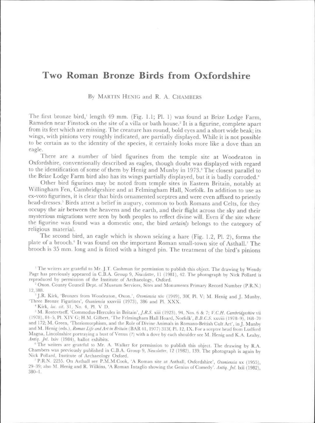## Two Roman Bronze Birds from Oxfordshire

By MARTIN HENIG and R. A. CHAMBERS

The first bronze bird, length 49 mm. (Fig. 1.1; Pl. 1) was found at Brize Lodge Farm. Ramsden near Finstock on the site of a villa or bath house.<sup>2</sup> It is a figurine, complete apart from its feet which are missing. The creature has round, bold eyes and a short wide beak; its wings, with pinions very roughly indicated, arc partially displayed. \Vhile it is not possible to be certain as to the identity of the species, it certainly looks more like a dove than an eagle.

There are a number of bird figurines from the temple site at Woodeaton in Oxfordshire, conventionally described as eagles, though doubt was displayed with regard to the identification of some of them by Henig and Munby in 1973.<sup>3</sup> The closest parallel to the Brize Lodge Farm bird also has its wings partially displayed, but it is badly corroded.'

Other bird figurines may be noted from temple sites in Eastern Britain, notably at \lVillingham Fen, Cambridgeshire and at Felmingham Hall, Norfolk. In addition to use as ex-voto figurines, it is clear that birds ornamented sceptres and were even affixed to priestly head-dresses.<sup>5</sup> Birds attest a belief in augury, common to both Romans and Celts, for they occupy the air between the heavens and the earth, and their flight across the sky and their mysterious migrations were seen by both peoples to reflect divine will. Even if the site where the figurine was found was a domestic one, the bird *certainly* belongs to the category of religious material.

The second bird, an eagle which is shown seizing a hare (Fig. 1.2, PI. 2), forms the plate of a brooch.<sup>6</sup> It was found on the important Roman small-town site of Asthall.<sup>7</sup> The brooch is 35 mm. long and is fitted with a hinged pin. The treatment of the bird 's pinions

 $\rm{}^{1}$  The writers are grateful to Mr. J.T. Cashman for permission to publish this object. The drawing by Wendy Page has previously appeared in C.B.A. Group 9, *Newsletter*, 11 (1981), 42. The photograph by Nick Pollard is reproduced by permission of the Institute of Archaeology, Oxford.

<sup>2</sup> Oxon. County Council Dept. of Museum Services, Sites and Monuments Primary Record Number (P.R.N.) t2.388.

<sup>3</sup> J.R. Kirk, 'Bronzes from Woodeaton, Oxon.', *Oxoniensia* xiv (1949), 30f, Pl. V; M. Henig and J. Munby, 'Three Bronze Figurines', *Oxoniensia* xxxviii (1973), 386 and Pl. XXX.

<sup>4</sup> Kirk, loc. cit. 31, No. 4, Pl. V D.

<sup>3</sup> M. Rostovtseff, 'Commodus-Hercules in Britain', *J.R.S.* xiii (1923), 94, Nos. 6 & 7; *V.C.H. Cambridgeshire* vii (1978), 84-5, Pl. XIV G; H.M. Gilbert, 'The Felmingham Hall Hoard, Norfolk', *B.B.C.S.* xxviii (1978-9), 168-70 and 172; M. Green, 'Theriomorphism, and the Role of Divine Animals in Romano-British Cult Art', in J. Munby and M. Henig (eds.), *Roman Life and Art in Britain* (BAR 41, 1977) 313f, Pl. 12, IX. For a sceptre head from Ludford Magna, Lincolnshire portraying a bust of Venus (?) with a dove by each shoulder see M. Henig and K.A. Leahy, Antiq. Jnl. lxiv (1984), ballot exhibits.

 $6$ The writers are grateful to Mr. A. Walker for permission to publish this object. The drawing by R.A. Chambers was previously published in C.B.A. Group 9, *Newsletter*, 12 (1982), 139. The photograph is again by Nick Pollard, Institute of Archaeology Oxford.

<sup>7</sup> P.R.N. 2255. On Asthall see P.M.M.Cook, 'A Roman site at Asthall, Oxfordshire', *Oxoniensia* xx (1955), 29--39: also M. Henig and R. Wilkins, 'A Roman Intaglio showing the Genius of Comedy'. *Antiq. Jnt.* Ixii ( 1982), 380-1.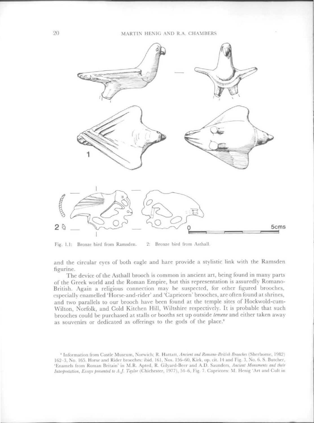## 20 MARTIN HENIG AND R.A. CHAMBERS



Fig. 1.1: Bronze bird from Ramsden. 2: Bronze bird from Asthall.

and the circular eyes of both cagle and hare provide a stylistic link with the Ramsden figurine.

The device of the Asthall brooch is common in ancient art, being found in many parts of the Greek world and the Roman Empire, but this representation is assuredly Romano-British. Again a religious connection may be suspected, for other figured brooches, especially enamelled 'Horsc-and-rider' and 'Capricorn' brooches, are often found at shrines, and two parallels to our brooch have been found at the temple sites of Hockwold-cum-Wilton, Norfolk, and Cold Kitchen Hill, Wiltshire respectively. It is probable that such brooches could be purchased at stalls or booths set up outside *temene* and either taken away as souvenirs or dedicated as offerings to the gods of the place.<sup>8</sup>

<sup>&</sup>lt;sup>8</sup> Information from Castle Museum, Norwich; R. Hattatt, Ancient and Romano-British Brooches (Sherborne, 1982) 162-3, No. 165. Horse and Rider brooches: ibid. 161, Nos. 156-60, Kirk, op. cit. 14 and Fig. 3, No. 6. S. Butcher, 'Enamels from Roman Britain' in M.R. Apted, R. Gilyard-Beer and A.D. Saunders, *Ancient Monuments and their Interpretation, Essays presented to A.J. Taylor (Chichester, 1977), 54-6, Fig. 7. Capricorn: M. Henig 'Art and Cult in*